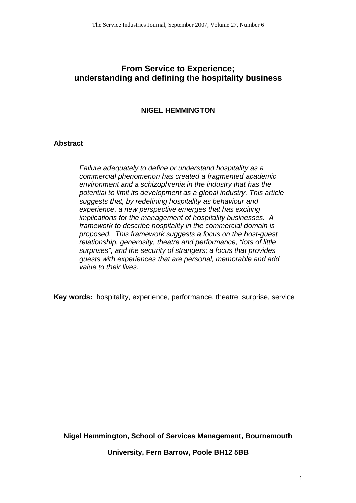# **From Service to Experience; understanding and defining the hospitality business**

## **NIGEL HEMMINGTON**

## **Abstract**

*Failure adequately to define or understand hospitality as a commercial phenomenon has created a fragmented academic environment and a schizophrenia in the industry that has the potential to limit its development as a global industry. This article suggests that, by redefining hospitality as behaviour and experience, a new perspective emerges that has exciting implications for the management of hospitality businesses. A framework to describe hospitality in the commercial domain is proposed. This framework suggests a focus on the host-guest relationship, generosity, theatre and performance, "lots of little surprises", and the security of strangers; a focus that provides guests with experiences that are personal, memorable and add value to their lives.* 

**Key words:** hospitality, experience, performance, theatre, surprise, service

**Nigel Hemmington, School of Services Management, Bournemouth** 

**University, Fern Barrow, Poole BH12 5BB**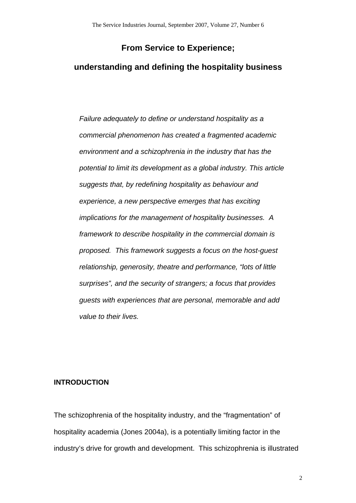# **From Service to Experience;**

# **understanding and defining the hospitality business**

*Failure adequately to define or understand hospitality as a commercial phenomenon has created a fragmented academic environment and a schizophrenia in the industry that has the potential to limit its development as a global industry. This article suggests that, by redefining hospitality as behaviour and experience, a new perspective emerges that has exciting implications for the management of hospitality businesses. A framework to describe hospitality in the commercial domain is proposed. This framework suggests a focus on the host-guest relationship, generosity, theatre and performance, "lots of little surprises", and the security of strangers; a focus that provides guests with experiences that are personal, memorable and add value to their lives.* 

### **INTRODUCTION**

The schizophrenia of the hospitality industry, and the "fragmentation" of hospitality academia (Jones 2004a), is a potentially limiting factor in the industry's drive for growth and development. This schizophrenia is illustrated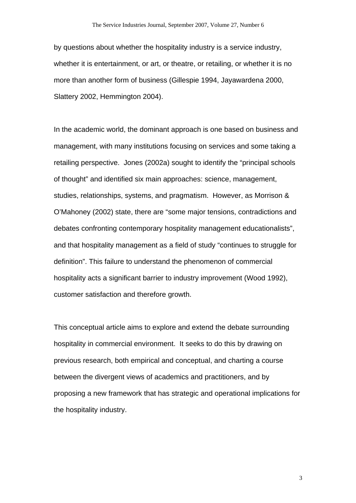by questions about whether the hospitality industry is a service industry, whether it is entertainment, or art, or theatre, or retailing, or whether it is no more than another form of business (Gillespie 1994, Jayawardena 2000, Slattery 2002, Hemmington 2004).

In the academic world, the dominant approach is one based on business and management, with many institutions focusing on services and some taking a retailing perspective. Jones (2002a) sought to identify the "principal schools of thought" and identified six main approaches: science, management, studies, relationships, systems, and pragmatism. However, as Morrison & O'Mahoney (2002) state, there are "some major tensions, contradictions and debates confronting contemporary hospitality management educationalists", and that hospitality management as a field of study "continues to struggle for definition". This failure to understand the phenomenon of commercial hospitality acts a significant barrier to industry improvement (Wood 1992), customer satisfaction and therefore growth.

This conceptual article aims to explore and extend the debate surrounding hospitality in commercial environment. It seeks to do this by drawing on previous research, both empirical and conceptual, and charting a course between the divergent views of academics and practitioners, and by proposing a new framework that has strategic and operational implications for the hospitality industry.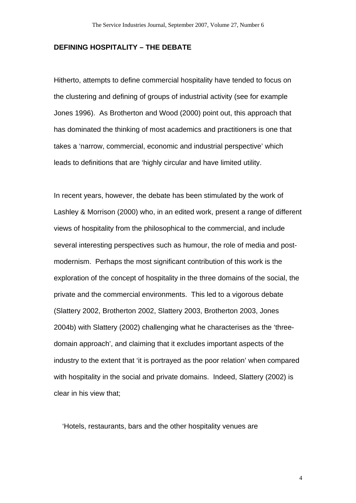#### **DEFINING HOSPITALITY – THE DEBATE**

Hitherto, attempts to define commercial hospitality have tended to focus on the clustering and defining of groups of industrial activity (see for example Jones 1996). As Brotherton and Wood (2000) point out, this approach that has dominated the thinking of most academics and practitioners is one that takes a 'narrow, commercial, economic and industrial perspective' which leads to definitions that are 'highly circular and have limited utility.

In recent years, however, the debate has been stimulated by the work of Lashley & Morrison (2000) who, in an edited work, present a range of different views of hospitality from the philosophical to the commercial, and include several interesting perspectives such as humour, the role of media and postmodernism. Perhaps the most significant contribution of this work is the exploration of the concept of hospitality in the three domains of the social, the private and the commercial environments. This led to a vigorous debate (Slattery 2002, Brotherton 2002, Slattery 2003, Brotherton 2003, Jones 2004b) with Slattery (2002) challenging what he characterises as the 'threedomain approach', and claiming that it excludes important aspects of the industry to the extent that 'it is portrayed as the poor relation' when compared with hospitality in the social and private domains. Indeed, Slattery (2002) is clear in his view that;

'Hotels, restaurants, bars and the other hospitality venues are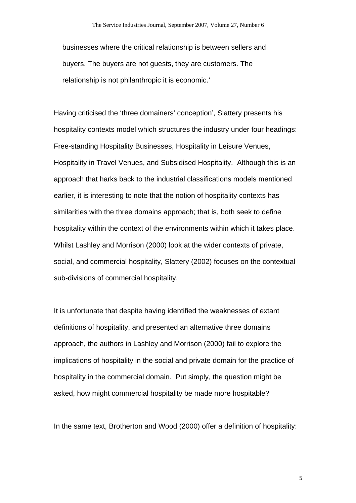businesses where the critical relationship is between sellers and buyers. The buyers are not guests, they are customers. The relationship is not philanthropic it is economic.'

Having criticised the 'three domainers' conception', Slattery presents his hospitality contexts model which structures the industry under four headings: Free-standing Hospitality Businesses, Hospitality in Leisure Venues, Hospitality in Travel Venues, and Subsidised Hospitality. Although this is an approach that harks back to the industrial classifications models mentioned earlier, it is interesting to note that the notion of hospitality contexts has similarities with the three domains approach; that is, both seek to define hospitality within the context of the environments within which it takes place. Whilst Lashley and Morrison (2000) look at the wider contexts of private, social, and commercial hospitality, Slattery (2002) focuses on the contextual sub-divisions of commercial hospitality.

It is unfortunate that despite having identified the weaknesses of extant definitions of hospitality, and presented an alternative three domains approach, the authors in Lashley and Morrison (2000) fail to explore the implications of hospitality in the social and private domain for the practice of hospitality in the commercial domain. Put simply, the question might be asked, how might commercial hospitality be made more hospitable?

In the same text, Brotherton and Wood (2000) offer a definition of hospitality: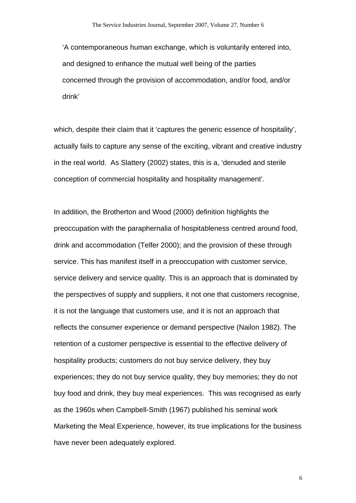'A contemporaneous human exchange, which is voluntarily entered into, and designed to enhance the mutual well being of the parties concerned through the provision of accommodation, and/or food, and/or drink'

which, despite their claim that it 'captures the generic essence of hospitality', actually fails to capture any sense of the exciting, vibrant and creative industry in the real world. As Slattery (2002) states, this is a, 'denuded and sterile conception of commercial hospitality and hospitality management'.

In addition, the Brotherton and Wood (2000) definition highlights the preoccupation with the paraphernalia of hospitableness centred around food, drink and accommodation (Telfer 2000); and the provision of these through service. This has manifest itself in a preoccupation with customer service, service delivery and service quality. This is an approach that is dominated by the perspectives of supply and suppliers, it not one that customers recognise, it is not the language that customers use, and it is not an approach that reflects the consumer experience or demand perspective (Nailon 1982). The retention of a customer perspective is essential to the effective delivery of hospitality products; customers do not buy service delivery, they buy experiences; they do not buy service quality, they buy memories; they do not buy food and drink, they buy meal experiences. This was recognised as early as the 1960s when Campbell-Smith (1967) published his seminal work Marketing the Meal Experience, however, its true implications for the business have never been adequately explored.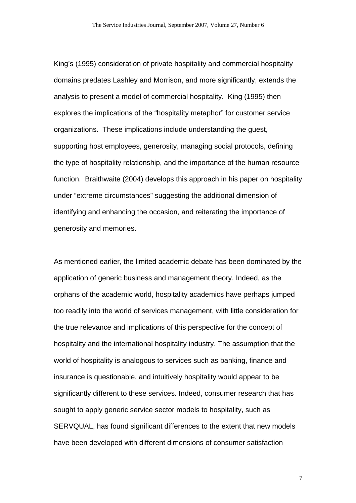King's (1995) consideration of private hospitality and commercial hospitality domains predates Lashley and Morrison, and more significantly, extends the analysis to present a model of commercial hospitality. King (1995) then explores the implications of the "hospitality metaphor" for customer service organizations. These implications include understanding the guest, supporting host employees, generosity, managing social protocols, defining the type of hospitality relationship, and the importance of the human resource function. Braithwaite (2004) develops this approach in his paper on hospitality under "extreme circumstances" suggesting the additional dimension of identifying and enhancing the occasion, and reiterating the importance of generosity and memories.

As mentioned earlier, the limited academic debate has been dominated by the application of generic business and management theory. Indeed, as the orphans of the academic world, hospitality academics have perhaps jumped too readily into the world of services management, with little consideration for the true relevance and implications of this perspective for the concept of hospitality and the international hospitality industry. The assumption that the world of hospitality is analogous to services such as banking, finance and insurance is questionable, and intuitively hospitality would appear to be significantly different to these services. Indeed, consumer research that has sought to apply generic service sector models to hospitality, such as SERVQUAL, has found significant differences to the extent that new models have been developed with different dimensions of consumer satisfaction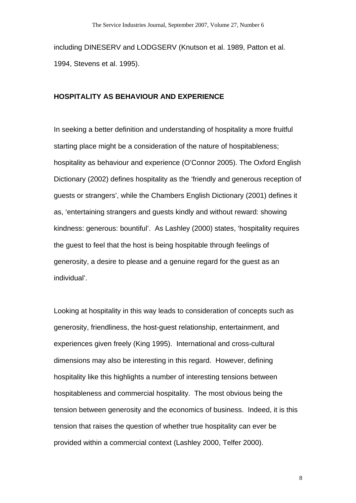including DINESERV and LODGSERV (Knutson et al. 1989, Patton et al. 1994, Stevens et al. 1995).

#### **HOSPITALITY AS BEHAVIOUR AND EXPERIENCE**

In seeking a better definition and understanding of hospitality a more fruitful starting place might be a consideration of the nature of hospitableness; hospitality as behaviour and experience (O'Connor 2005). The Oxford English Dictionary (2002) defines hospitality as the 'friendly and generous reception of guests or strangers', while the Chambers English Dictionary (2001) defines it as, 'entertaining strangers and guests kindly and without reward: showing kindness: generous: bountiful'. As Lashley (2000) states, 'hospitality requires the guest to feel that the host is being hospitable through feelings of generosity, a desire to please and a genuine regard for the guest as an individual'.

Looking at hospitality in this way leads to consideration of concepts such as generosity, friendliness, the host-guest relationship, entertainment, and experiences given freely (King 1995). International and cross-cultural dimensions may also be interesting in this regard. However, defining hospitality like this highlights a number of interesting tensions between hospitableness and commercial hospitality. The most obvious being the tension between generosity and the economics of business. Indeed, it is this tension that raises the question of whether true hospitality can ever be provided within a commercial context (Lashley 2000, Telfer 2000).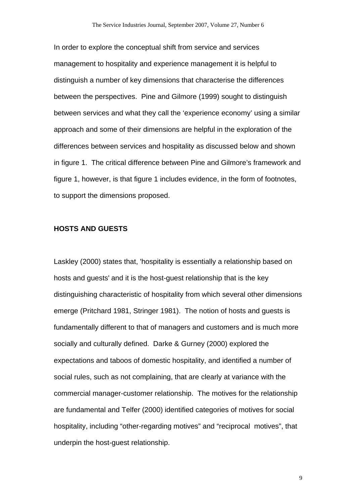In order to explore the conceptual shift from service and services management to hospitality and experience management it is helpful to distinguish a number of key dimensions that characterise the differences between the perspectives. Pine and Gilmore (1999) sought to distinguish between services and what they call the 'experience economy' using a similar approach and some of their dimensions are helpful in the exploration of the differences between services and hospitality as discussed below and shown in figure 1. The critical difference between Pine and Gilmore's framework and figure 1, however, is that figure 1 includes evidence, in the form of footnotes, to support the dimensions proposed.

#### **HOSTS AND GUESTS**

Laskley (2000) states that, 'hospitality is essentially a relationship based on hosts and guests' and it is the host-guest relationship that is the key distinguishing characteristic of hospitality from which several other dimensions emerge (Pritchard 1981, Stringer 1981). The notion of hosts and guests is fundamentally different to that of managers and customers and is much more socially and culturally defined. Darke & Gurney (2000) explored the expectations and taboos of domestic hospitality, and identified a number of social rules, such as not complaining, that are clearly at variance with the commercial manager-customer relationship. The motives for the relationship are fundamental and Telfer (2000) identified categories of motives for social hospitality, including "other-regarding motives" and "reciprocal motives", that underpin the host-guest relationship.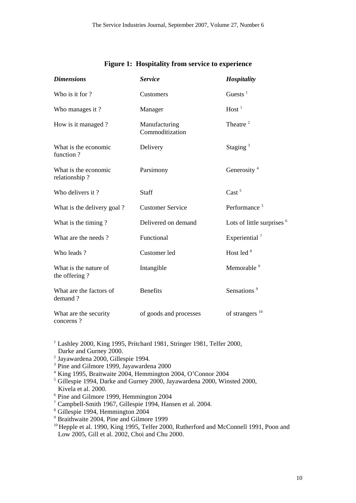| <b>Dimensions</b>                      | <b>Service</b>                   | Hospitality                           |
|----------------------------------------|----------------------------------|---------------------------------------|
| Who is it for ?                        | Customers                        | Guests $1$                            |
| Who manages it?                        | Manager                          | Host <sup>1</sup>                     |
| How is it managed?                     | Manufacturing<br>Commoditization | Theatre <sup>2</sup>                  |
| What is the economic<br>function?      | Delivery                         | Staging $3$                           |
| What is the economic<br>relationship?  | Parsimony                        | Generosity <sup>4</sup>               |
| Who delivers it?                       | <b>Staff</b>                     | Cast <sup>5</sup>                     |
| What is the delivery goal?             | <b>Customer Service</b>          | Performance <sup>5</sup>              |
| What is the timing?                    | Delivered on demand              | Lots of little surprises <sup>6</sup> |
| What are the needs?                    | Functional                       | Experiential <sup>7</sup>             |
| Who leads?                             | Customer led                     | Host led <sup>8</sup>                 |
| What is the nature of<br>the offering? | Intangible                       | Memorable <sup>9</sup>                |
| What are the factors of<br>demand?     | <b>Benefits</b>                  | Sensations <sup>9</sup>               |
| What are the security<br>concerns?     | of goods and processes           | of strangers $10$                     |

#### **Figure 1: Hospitality from service to experience**

 $1$  Lashley 2000, King 1995, Pritchard 1981, Stringer 1981, Telfer 2000, Darke and Gurney 2000.

- <sup>2</sup> Jayawardena 2000, Gillespie 1994.
- <sup>3</sup> Pine and Gilmore 1999, Jayawardena 2000
- 4 King 1995, Braitwaite 2004, Hemmington 2004, O'Connor 2004

5 Gillespie 1994, Darke and Gurney 2000, Jayawardena 2000, Winsted 2000, Kivela et al. 2000.

- 6 Pine and Gilmore 1999, Hemmington 2004
- 7 Campbell-Smith 1967, Gillespie 1994, Hansen et al. 2004. 8 Gillespie 1994, Hemmington 2004
- 
- 9 Braithwaite 2004, Pine and Gilmore 1999
- <sup>10</sup> Hepple et al. 1990, King 1995, Telfer 2000, Rutherford and McConnell 1991, Poon and Low 2005, Gill et al. 2002, Choi and Chu 2000.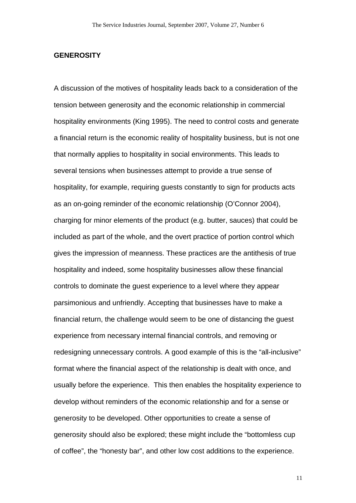#### **GENEROSITY**

A discussion of the motives of hospitality leads back to a consideration of the tension between generosity and the economic relationship in commercial hospitality environments (King 1995). The need to control costs and generate a financial return is the economic reality of hospitality business, but is not one that normally applies to hospitality in social environments. This leads to several tensions when businesses attempt to provide a true sense of hospitality, for example, requiring guests constantly to sign for products acts as an on-going reminder of the economic relationship (O'Connor 2004), charging for minor elements of the product (e.g. butter, sauces) that could be included as part of the whole, and the overt practice of portion control which gives the impression of meanness. These practices are the antithesis of true hospitality and indeed, some hospitality businesses allow these financial controls to dominate the guest experience to a level where they appear parsimonious and unfriendly. Accepting that businesses have to make a financial return, the challenge would seem to be one of distancing the guest experience from necessary internal financial controls, and removing or redesigning unnecessary controls. A good example of this is the "all-inclusive" format where the financial aspect of the relationship is dealt with once, and usually before the experience. This then enables the hospitality experience to develop without reminders of the economic relationship and for a sense or generosity to be developed. Other opportunities to create a sense of generosity should also be explored; these might include the "bottomless cup of coffee", the "honesty bar", and other low cost additions to the experience.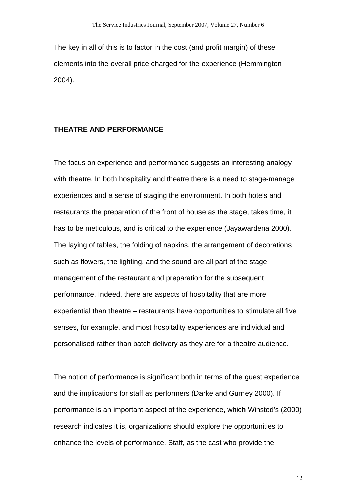The key in all of this is to factor in the cost (and profit margin) of these elements into the overall price charged for the experience (Hemmington 2004).

#### **THEATRE AND PERFORMANCE**

The focus on experience and performance suggests an interesting analogy with theatre. In both hospitality and theatre there is a need to stage-manage experiences and a sense of staging the environment. In both hotels and restaurants the preparation of the front of house as the stage, takes time, it has to be meticulous, and is critical to the experience (Jayawardena 2000). The laying of tables, the folding of napkins, the arrangement of decorations such as flowers, the lighting, and the sound are all part of the stage management of the restaurant and preparation for the subsequent performance. Indeed, there are aspects of hospitality that are more experiential than theatre – restaurants have opportunities to stimulate all five senses, for example, and most hospitality experiences are individual and personalised rather than batch delivery as they are for a theatre audience.

The notion of performance is significant both in terms of the guest experience and the implications for staff as performers (Darke and Gurney 2000). If performance is an important aspect of the experience, which Winsted's (2000) research indicates it is, organizations should explore the opportunities to enhance the levels of performance. Staff, as the cast who provide the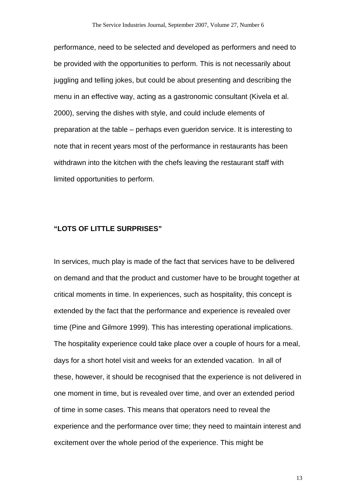performance, need to be selected and developed as performers and need to be provided with the opportunities to perform. This is not necessarily about juggling and telling jokes, but could be about presenting and describing the menu in an effective way, acting as a gastronomic consultant (Kivela et al. 2000), serving the dishes with style, and could include elements of preparation at the table – perhaps even gueridon service. It is interesting to note that in recent years most of the performance in restaurants has been withdrawn into the kitchen with the chefs leaving the restaurant staff with limited opportunities to perform.

#### **"LOTS OF LITTLE SURPRISES"**

In services, much play is made of the fact that services have to be delivered on demand and that the product and customer have to be brought together at critical moments in time. In experiences, such as hospitality, this concept is extended by the fact that the performance and experience is revealed over time (Pine and Gilmore 1999). This has interesting operational implications. The hospitality experience could take place over a couple of hours for a meal, days for a short hotel visit and weeks for an extended vacation. In all of these, however, it should be recognised that the experience is not delivered in one moment in time, but is revealed over time, and over an extended period of time in some cases. This means that operators need to reveal the experience and the performance over time; they need to maintain interest and excitement over the whole period of the experience. This might be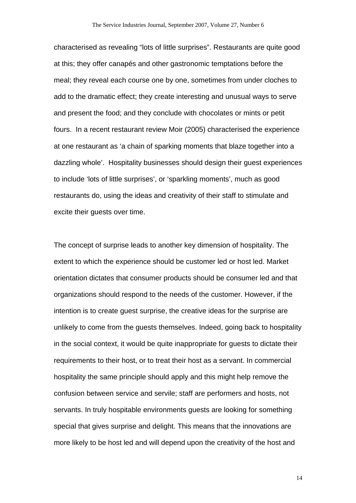characterised as revealing "lots of little surprises". Restaurants are quite good at this; they offer canapés and other gastronomic temptations before the meal; they reveal each course one by one, sometimes from under cloches to add to the dramatic effect; they create interesting and unusual ways to serve and present the food; and they conclude with chocolates or mints or petit fours. In a recent restaurant review Moir (2005) characterised the experience at one restaurant as 'a chain of sparking moments that blaze together into a dazzling whole'. Hospitality businesses should design their guest experiences to include 'lots of little surprises', or 'sparkling moments', much as good restaurants do, using the ideas and creativity of their staff to stimulate and excite their guests over time.

The concept of surprise leads to another key dimension of hospitality. The extent to which the experience should be customer led or host led. Market orientation dictates that consumer products should be consumer led and that organizations should respond to the needs of the customer. However, if the intention is to create guest surprise, the creative ideas for the surprise are unlikely to come from the guests themselves. Indeed, going back to hospitality in the social context, it would be quite inappropriate for guests to dictate their requirements to their host, or to treat their host as a servant. In commercial hospitality the same principle should apply and this might help remove the confusion between service and servile; staff are performers and hosts, not servants. In truly hospitable environments guests are looking for something special that gives surprise and delight. This means that the innovations are more likely to be host led and will depend upon the creativity of the host and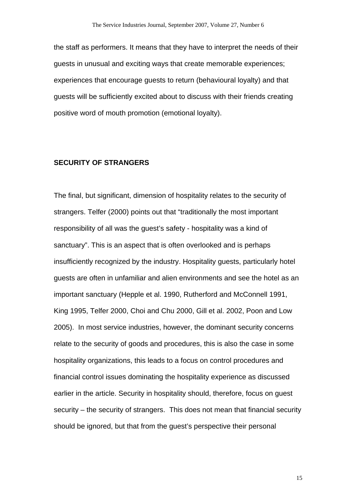the staff as performers. It means that they have to interpret the needs of their guests in unusual and exciting ways that create memorable experiences; experiences that encourage guests to return (behavioural loyalty) and that guests will be sufficiently excited about to discuss with their friends creating positive word of mouth promotion (emotional loyalty).

#### **SECURITY OF STRANGERS**

The final, but significant, dimension of hospitality relates to the security of strangers. Telfer (2000) points out that "traditionally the most important responsibility of all was the guest's safety - hospitality was a kind of sanctuary". This is an aspect that is often overlooked and is perhaps insufficiently recognized by the industry. Hospitality guests, particularly hotel guests are often in unfamiliar and alien environments and see the hotel as an important sanctuary (Hepple et al. 1990, Rutherford and McConnell 1991, King 1995, Telfer 2000, Choi and Chu 2000, Gill et al. 2002, Poon and Low 2005). In most service industries, however, the dominant security concerns relate to the security of goods and procedures, this is also the case in some hospitality organizations, this leads to a focus on control procedures and financial control issues dominating the hospitality experience as discussed earlier in the article. Security in hospitality should, therefore, focus on guest security – the security of strangers. This does not mean that financial security should be ignored, but that from the guest's perspective their personal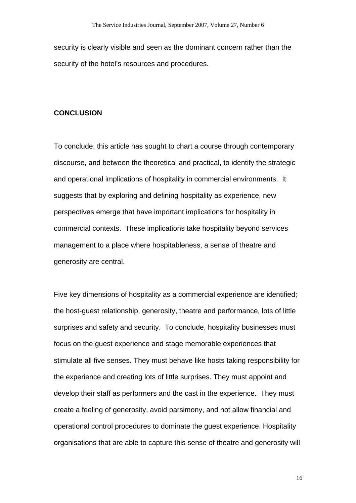security is clearly visible and seen as the dominant concern rather than the security of the hotel's resources and procedures.

#### **CONCLUSION**

To conclude, this article has sought to chart a course through contemporary discourse, and between the theoretical and practical, to identify the strategic and operational implications of hospitality in commercial environments. It suggests that by exploring and defining hospitality as experience, new perspectives emerge that have important implications for hospitality in commercial contexts. These implications take hospitality beyond services management to a place where hospitableness, a sense of theatre and generosity are central.

Five key dimensions of hospitality as a commercial experience are identified; the host-guest relationship, generosity, theatre and performance, lots of little surprises and safety and security. To conclude, hospitality businesses must focus on the guest experience and stage memorable experiences that stimulate all five senses. They must behave like hosts taking responsibility for the experience and creating lots of little surprises. They must appoint and develop their staff as performers and the cast in the experience. They must create a feeling of generosity, avoid parsimony, and not allow financial and operational control procedures to dominate the guest experience. Hospitality organisations that are able to capture this sense of theatre and generosity will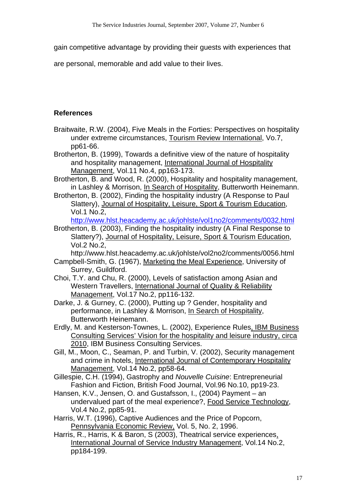gain competitive advantage by providing their guests with experiences that

are personal, memorable and add value to their lives.

# **References**

- Braitwaite, R.W. (2004), Five Meals in the Forties: Perspectives on hospitality under extreme circumstances, Tourism Review International, Vo.7, pp61-66.
- Brotherton, B. (1999), Towards a definitive view of the nature of hospitality and hospitality management, International Journal of Hospitality Management, Vol.11 No.4, pp163-173.
- Brotherton, B. and Wood, R. (2000), Hospitality and hospitality management, in Lashley & Morrison, In Search of Hospitality, Butterworth Heinemann.
- Brotherton, B. (2002), Finding the hospitality industry (A Response to Paul Slattery), Journal of Hospitality, Leisure, Sport & Tourism Education, Vol.1 No.2,

<http://www.hlst.heacademy.ac.uk/johlste/vol1no2/comments/0032.html>

Brotherton, B. (2003), Finding the hospitality industry (A Final Response to Slattery?), Journal of Hospitality, Leisure, Sport & Tourism Education, Vol.2 No.2,

http://www.hlst.heacademy.ac.uk/johlste/vol2no2/comments/0056.html Campbell-Smith, G. (1967), Marketing the Meal Experience, University of

- Surrey, Guildford.
- Choi, T.Y. and Chu, R. (2000), Levels of satisfaction among Asian and Western Travellers, International Journal of Quality & Reliability Management, Vol.17 No.2, pp116-132.
- Darke, J. & Gurney, C. (2000), Putting up ? Gender, hospitality and performance, in Lashley & Morrison, In Search of Hospitality, Butterworth Heinemann.
- Erdly, M. and Kesterson-Townes, L. (2002), Experience Rules, IBM Business Consulting Services' Vision for the hospitality and leisure industry, circa 2010, IBM Business Consulting Services.
- Gill, M., Moon, C., Seaman, P. and Turbin, V. (2002), Security management and crime in hotels, International Journal of Contemporary Hospitality Management, Vol.14 No.2, pp58-64.
- Gillespie, C.H. (1994), Gastrophy and *Nouvelle Cuisine*: Entrepreneurial Fashion and Fiction, British Food Journal, Vol.96 No.10, pp19-23.
- Hansen, K.V., Jensen, O. and Gustafsson, I., (2004) Payment an undervalued part of the meal experience?, Food Service Technology, Vol.4 No.2, pp85-91.
- Harris, W.T. (1996), Captive Audiences and the Price of Popcorn, Pennsylvania Economic Review, Vol. 5, No. 2, 1996.
- Harris, R., Harris, K & Baron, S (2003), Theatrical service experiences, International Journal of Service Industry Management, Vol.14 No.2, pp184-199.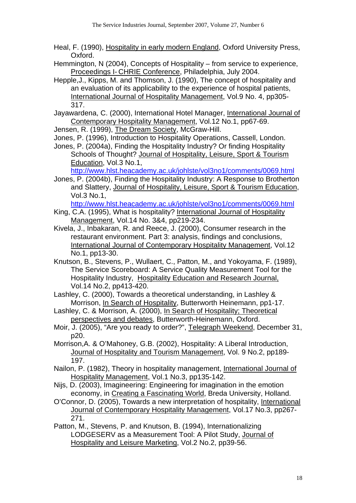- Heal, F. (1990), Hospitality in early modern England, Oxford University Press, Oxford.
- Hemmington, N (2004), Concepts of Hospitality from service to experience, Proceedings I- CHRIE Conference, Philadelphia, July 2004.
- Hepple,J., Kipps, M. and Thomson, J. (1990), The concept of hospitality and an evaluation of its applicability to the experience of hospital patients, International Journal of Hospitality Management, Vol.9 No. 4, pp305- 317.
- Jayawardena, C. (2000), International Hotel Manager, International Journal of Contemporary Hospitality Management, Vol.12 No.1, pp67-69.

Jensen, R. (1999), The Dream Society, McGraw-Hill.

- Jones, P. (1996), Introduction to Hospitality Operations, Cassell, London.
- Jones, P. (2004a), Finding the Hospitality Industry? Or finding Hospitality Schools of Thought? Journal of Hospitality, Leisure, Sport & Tourism Education, Vol.3 No.1,

<http://www.hlst.heacademy.ac.uk/johlste/vol3no1/comments/0069.html>

Jones, P. (2004b), Finding the Hospitality Industry: A Response to Brotherton and Slattery, Journal of Hospitality, Leisure, Sport & Tourism Education, Vol.3 No.1,

<http://www.hlst.heacademy.ac.uk/johlste/vol3no1/comments/0069.html>

- King, C.A. (1995), What is hospitality? International Journal of Hospitality Management, Vol.14 No. 3&4, pp219-234.
- Kivela, J., Inbakaran, R. and Reece, J. (2000), Consumer research in the restaurant environment. Part 3: analysis, findings and conclusions, International Journal of Contemporary Hospitality Management, Vol.12 No.1, pp13-30.
- Knutson, B., Stevens, P., Wullaert, C., Patton, M., and Yokoyama, F. (1989), The Service Scoreboard: A Service Quality Measurement Tool for the Hospitality Industry, Hospitality Education and Research Journal, Vol.14 No.2, pp413-420.

Lashley, C. (2000), Towards a theoretical understanding, in Lashley & Morrison, In Search of Hospitality, Butterworth Heinemann, pp1-17.

- Lashley, C. & Morrison, A. (2000), In Search of Hospitality; Theoretical perspectives and debates, Butterworth-Heinemann, Oxford.
- Moir, J. (2005), "Are you ready to order?", Telegraph Weekend, December 31, p20.
- Morrison,A. & O'Mahoney, G.B. (2002), Hospitality: A Liberal Introduction, Journal of Hospitality and Tourism Management, Vol. 9 No.2, pp189- 197.
- Nailon, P. (1982), Theory in hospitality management, International Journal of Hospitality Management, Vol.1 No.3, pp135-142.
- Nijs, D. (2003), Imagineering: Engineering for imagination in the emotion economy, in Creating a Fascinating World, Breda University, Holland.
- O'Connor, D. (2005), Towards a new interpretation of hospitality, International Journal of Contemporary Hospitality Management, Vol.17 No.3, pp267- 271.
- Patton, M., Stevens, P. and Knutson, B. (1994), Internationalizing LODGESERV as a Measurement Tool: A Pilot Study, Journal of Hospitality and Leisure Marketing, Vol.2 No.2, pp39-56.